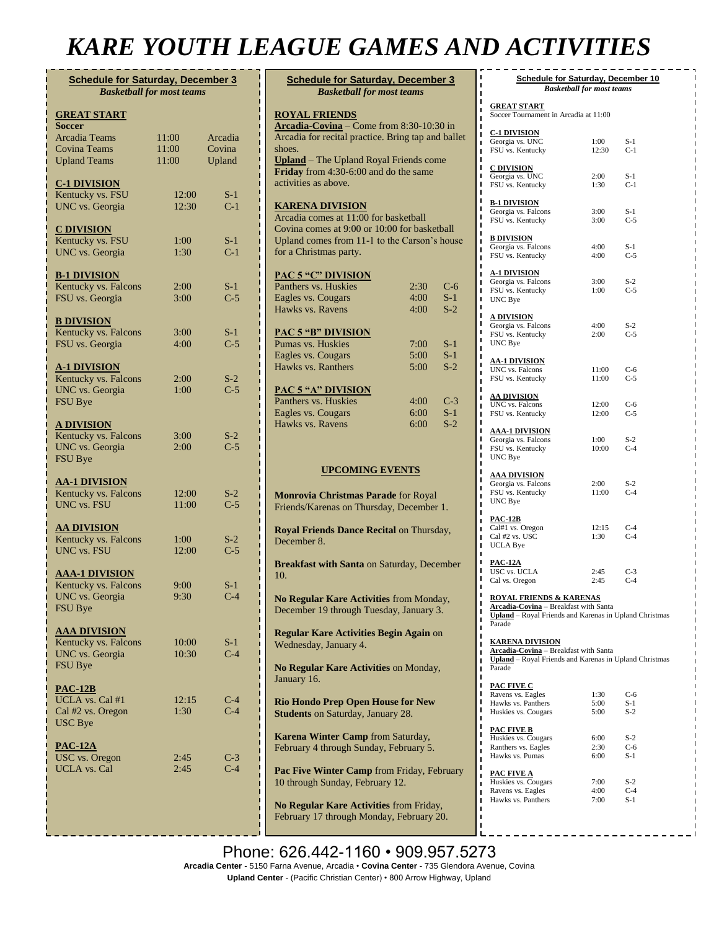## *KARE YOUTH LEAGUE GAMES AND ACTIVITIES*

| <b>Schedule for Saturday, December 3</b><br><b>Basketball for most teams</b> |                |                |  |  |
|------------------------------------------------------------------------------|----------------|----------------|--|--|
| <b>GREAT START</b>                                                           |                |                |  |  |
| Soccer<br><b>Arcadia Teams</b>                                               | 11:00          | Arcadia        |  |  |
| Covina Teams                                                                 | 11:00          | Covina         |  |  |
| <b>Upland Teams</b>                                                          | 11:00          | Upland         |  |  |
| <u>C-1 DIVISION</u>                                                          |                |                |  |  |
| Kentucky vs. FSU                                                             | 12:00          | S-1            |  |  |
| <b>UNC</b> vs. Georgia                                                       | 12:30          | $C-1$          |  |  |
| <b>C DIVISION</b>                                                            |                |                |  |  |
| Kentucky vs. FSU                                                             | 1:00           | $S-1$          |  |  |
| <b>UNC</b> vs. Georgia                                                       | 1:30           | $C-1$          |  |  |
| <b>B-1 DIVISION</b>                                                          |                |                |  |  |
| Kentucky vs. Falcons                                                         | 2:00           | $S-1$          |  |  |
| FSU vs. Georgia                                                              | 3:00           | $C-5$          |  |  |
| <b>B DIVISION</b>                                                            |                |                |  |  |
| Kentucky vs. Falcons                                                         | 3:00           | $S-1$          |  |  |
| FSU vs. Georgia                                                              | 4:00           | $C-5$          |  |  |
| <u>A-1 DIVISION</u>                                                          |                |                |  |  |
| Kentucky vs. Falcons<br><b>UNC</b> vs. Georgia                               | 2:00<br>1:00   | $S-2$<br>$C-5$ |  |  |
| FSU Bye                                                                      |                |                |  |  |
| <b>A DIVISION</b>                                                            |                |                |  |  |
| Kentucky vs. Falcons                                                         | 3:00           | $S-2$          |  |  |
| UNC vs. Georgia                                                              | 2:00           | $C-5$          |  |  |
| FSU Bye                                                                      |                |                |  |  |
| <u>AA-1 DIVISION</u>                                                         |                |                |  |  |
| Kentucky vs. Falcons<br><b>UNC</b> vs. FSU                                   | 12:00<br>11:00 | $S-2$<br>$C-5$ |  |  |
|                                                                              |                |                |  |  |
| <b>AA DIVISION</b><br>Kentucky vs. Falcons                                   | 1:00           |                |  |  |
| UNC vs. FSU                                                                  | 12:00          | $S-2$<br>$C-5$ |  |  |
|                                                                              |                |                |  |  |
| <b>AAA-1 DIVISION</b><br>Kentucky vs. Falcons                                | 9:00           | $S-1$          |  |  |
| UNC vs. Georgia                                                              | 9:30           | $C-4$          |  |  |
| FSU Bye                                                                      |                |                |  |  |
| <b>AAA DIVISION</b>                                                          |                |                |  |  |
| Kentucky vs. Falcons                                                         | 10:00          | S-1            |  |  |
| UNC vs. Georgia                                                              | 10:30          | $C-4$          |  |  |
| FSU Bye                                                                      |                |                |  |  |
| <b>PAC-12B</b>                                                               |                |                |  |  |
| UCLA vs. Cal #1<br>Cal #2 vs. Oregon                                         | 12:15<br>1:30  | $C-4$<br>$C-4$ |  |  |
| <b>USC</b> Bye                                                               |                |                |  |  |
| <b>PAC-12A</b>                                                               |                |                |  |  |
| USC vs. Oregon                                                               | 2:45           | $C-3$          |  |  |
| <b>UCLA</b> vs. Cal                                                          | 2:45           | $C-4$          |  |  |
|                                                                              |                |                |  |  |
|                                                                              |                |                |  |  |
|                                                                              |                |                |  |  |

| <b>Schedule for Saturday, December 3</b><br><b>Basketball for most teams</b>                                                                                                                                                                                                      |                      |                         |  |  |
|-----------------------------------------------------------------------------------------------------------------------------------------------------------------------------------------------------------------------------------------------------------------------------------|----------------------|-------------------------|--|--|
| <b>ROYAL FRIENDS</b><br>$\overline{\text{Arcadia-Covina}} - \overline{\text{Come from 8:30-10:30 in}}$<br>Arcadia for recital practice. Bring tap and ballet<br>shoes.<br>Upland - The Upland Royal Friends come<br>Friday from 4:30-6:00 and do the same<br>activities as above. |                      |                         |  |  |
| <b>KARENA DIVISION</b><br>Arcadia comes at 11:00 for basketball<br>Covina comes at 9:00 or 10:00 for basketball<br>Upland comes from 11-1 to the Carson's house<br>for a Christmas party.                                                                                         |                      |                         |  |  |
| <b>PAC 5 "C" DIVISION</b><br>Panthers vs. Huskies<br>Eagles vs. Cougars<br>Hawks vs. Ravens                                                                                                                                                                                       | 2:30<br>4:00<br>4:00 | $C-6$<br>$S-1$<br>$S-2$ |  |  |
| <b>PAC 5 "B" DIVISION</b><br>Pumas vs. Huskies<br>Eagles vs. Cougars<br>Hawks vs. Ranthers                                                                                                                                                                                        | 7:00<br>5:00<br>5:00 | $S-1$<br>$S-1$<br>$S-2$ |  |  |
| <b>PAC 5 "A" DIVISION</b><br>Panthers vs. Huskies<br>Eagles vs. Cougars<br>Hawks vs. Ravens                                                                                                                                                                                       | 4:00<br>6:00<br>6:00 | $C-3$<br>$S-1$<br>$S-2$ |  |  |
| <b>UPCOMING EVENTS</b>                                                                                                                                                                                                                                                            |                      |                         |  |  |
| Monrovia Christmas Parade for Royal<br>Friends/Karenas on Thursday, December 1.                                                                                                                                                                                                   |                      |                         |  |  |
| Royal Friends Dance Recital on Thursday,<br>December 8.                                                                                                                                                                                                                           |                      |                         |  |  |
| <b>Breakfast with Santa on Saturday, December</b><br>10.                                                                                                                                                                                                                          |                      |                         |  |  |
| No Regular Kare Activities from Monday,<br>December 19 through Tuesday, January 3.                                                                                                                                                                                                |                      |                         |  |  |
| <b>Regular Kare Activities Begin Again on</b><br>Wednesday, January 4.                                                                                                                                                                                                            |                      |                         |  |  |
| No Regular Kare Activities on Monday,<br>January 16.                                                                                                                                                                                                                              |                      |                         |  |  |
| <b>Rio Hondo Prep Open House for New</b><br><b>Students on Saturday, January 28.</b>                                                                                                                                                                                              |                      |                         |  |  |
| Karena Winter Camp from Saturday,<br>February 4 through Sunday, February 5.                                                                                                                                                                                                       |                      |                         |  |  |
| Pac Five Winter Camp from Friday, February<br>10 through Sunday, February 12.                                                                                                                                                                                                     |                      |                         |  |  |

**No Regular Kare Activities** from Friday, February 17 through Monday, February 20.

| ı<br><b>Schedule for Saturday, December 10</b><br><b>Basketball for most teams</b>              |               |                |  |  |
|-------------------------------------------------------------------------------------------------|---------------|----------------|--|--|
| Π                                                                                               |               |                |  |  |
| <u>GREAT START</u><br>Soccer Tournament in Arcadia at 11:00<br>ı                                |               |                |  |  |
| ı<br><b>C-1 DIVISION</b>                                                                        |               |                |  |  |
| Georgia vs. UNC<br>ı                                                                            | 1:00          | S-1            |  |  |
| FSU vs. Kentucky<br>П<br>П                                                                      | 12:30         | $C-1$          |  |  |
| Π<br><b>C DIVISION</b>                                                                          |               |                |  |  |
| П<br>Georgia vs. UNC<br>ı                                                                       | 2:00          | $S-1$          |  |  |
| FSU vs. Kentucky<br>Π                                                                           | 1:30          | $C-1$          |  |  |
| П<br><b>B-1 DIVISION</b>                                                                        |               |                |  |  |
| Georgia vs. Falcons<br>ı<br>FSU vs. Kentucky                                                    | 3:00<br>3:00  | $S-1$<br>$C-5$ |  |  |
| П<br>ı                                                                                          |               |                |  |  |
| <b>B DIVISION</b><br>ı                                                                          |               |                |  |  |
| Georgia vs. Falcons<br>П<br>FSU vs. Kentucky<br>ī                                               | 4:00<br>4:00  | $S-1$<br>$C-5$ |  |  |
| ı                                                                                               |               |                |  |  |
| <b>A-1 DIVISION</b><br>П<br>Georgia vs. Falcons<br>П                                            | 3:00          | $S-2$          |  |  |
| FSU vs. Kentucky<br>Π                                                                           | 1:00          | $C-5$          |  |  |
| П<br>UNC Bye<br>П                                                                               |               |                |  |  |
| ı<br><b>A DIVISION</b>                                                                          |               |                |  |  |
| ı<br>Georgia vs. Falcons                                                                        | 4:00          | $S-2$          |  |  |
| FSU vs. Kentucky<br>ı<br>UNC Bye                                                                | 2:00          | $C-5$          |  |  |
| П<br>П                                                                                          |               |                |  |  |
| <b>AA-1 DIVISION</b><br>ı<br>UNC vs. Falcons                                                    | 11:00         | $C-6$          |  |  |
| ı<br>FSU vs. Kentucky<br>П                                                                      | 11:00         | $C-5$          |  |  |
| Π                                                                                               |               |                |  |  |
| <u>AA DIVISION</u><br>П<br>UNC vs. Falcons<br>П                                                 | 12:00         | $C-6$          |  |  |
| FSU vs. Kentucky<br>Π                                                                           | 12:00         | $C-5$          |  |  |
| П<br>П<br><b>AAA-1 DIVISION</b>                                                                 |               |                |  |  |
| ı<br>Georgia vs. Falcons                                                                        | 1:00          | $S-2$          |  |  |
| ı<br>FSU vs. Kentucky<br>П                                                                      | 10:00         | $C-4$          |  |  |
| UNC Bye<br>ı                                                                                    |               |                |  |  |
| П<br><u>AAA DIVISION</u><br>ı                                                                   |               |                |  |  |
| Georgia vs. Falcons<br>ı<br>FSU vs. Kentucky                                                    | 2:00<br>11:00 | $S-2$<br>$C-4$ |  |  |
| П<br>UNC Bye<br>ī                                                                               |               |                |  |  |
| ı                                                                                               |               |                |  |  |
| <u>PAC-12B</u><br>П<br>Cal#1 vs. Oregon                                                         | 12:15         | $C-4$          |  |  |
| Cal #2 vs. USC<br>Π                                                                             | 1:30          | $C-4$          |  |  |
| UCLA Bye<br>П                                                                                   |               |                |  |  |
| ı<br><u>PAC-12A</u>                                                                             |               |                |  |  |
| ı<br>USC vs. UCLA<br>ı<br>Cal vs. Oregon                                                        | 2:45<br>2:45  | $C-3$<br>$C-4$ |  |  |
|                                                                                                 |               |                |  |  |
| ı<br><b>ROYAL FRIENDS &amp; KARENAS</b>                                                         |               |                |  |  |
| Arcadia-Covina - Breakfast with Santa<br>Upland - Royal Friends and Karenas in Upland Christmas |               |                |  |  |
| ı<br>Parade                                                                                     |               |                |  |  |
| ı<br><u>KARENA DIVISION</u><br>ı                                                                |               |                |  |  |
| Arcadia-Covina - Breakfast with Santa                                                           |               |                |  |  |
| Upland - Royal Friends and Karenas in Upland Christmas<br>ı<br>Parade<br>ı                      |               |                |  |  |
|                                                                                                 |               |                |  |  |
| Π<br>PAC FIVE C<br>ı                                                                            |               | $C-6$          |  |  |
| Ravens vs. Eagles<br>П<br>Hawks vs. Panthers                                                    | 1:30<br>5:00  | $S-1$          |  |  |
| ı<br>Huskies vs. Cougars<br>ı                                                                   | 5:00          | $S-2$          |  |  |
| <u>PAC FIVE B</u>                                                                               |               |                |  |  |
| Huskies vs. Cougars<br>ı                                                                        | 6:00          | $S-2$          |  |  |
| Ranthers vs. Eagles<br>Hawks vs. Pumas                                                          | 2:30<br>6:00  | $C-6$<br>$S-1$ |  |  |
| ı<br>ı                                                                                          |               |                |  |  |
| <b>PAC FIVE A</b>                                                                               |               |                |  |  |
| Huskies vs. Cougars<br>ı<br>Ravens vs. Eagles<br>П                                              | 7:00<br>4:00  | $S-2$<br>$C-4$ |  |  |
| Hawks vs. Panthers                                                                              | 7:00          | $S-1$          |  |  |